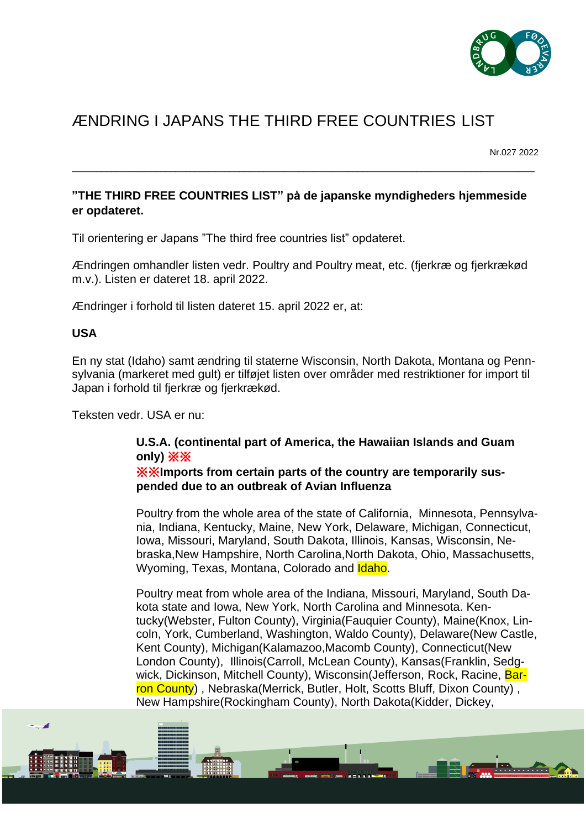

# ÆNDRING I JAPANS THE THIRD FREE COUNTRIES LIST

Nr.027 2022

## **"THE THIRD FREE COUNTRIES LIST" på de japanske myndigheders hjemmeside er opdateret.**

\_\_\_\_\_\_\_\_\_\_\_\_\_\_\_\_\_\_\_\_\_\_\_\_\_\_\_\_\_\_\_\_\_\_\_\_\_\_\_\_\_\_\_\_\_\_\_\_\_\_\_\_\_\_\_\_\_\_\_\_\_\_\_\_\_\_\_\_\_\_\_\_\_\_\_\_\_\_\_\_\_\_\_\_\_\_\_\_\_\_\_\_\_\_

Til orientering er Japans "The third free countries list" opdateret.

Ændringen omhandler listen vedr. Poultry and Poultry meat, etc. (fjerkræ og fjerkrækød m.v.). Listen er dateret 18. april 2022.

Ændringer i forhold til listen dateret 15. april 2022 er, at:

## **USA**

En ny stat (Idaho) samt ændring til staterne Wisconsin, North Dakota, Montana og Pennsylvania (markeret med gult) er tilføjet listen over områder med restriktioner for import til Japan i forhold til fjerkræ og fjerkrækød.

Teksten vedr. USA er nu:

## **U.S.A. (continental part of America, the Hawaiian Islands and Guam only)** ※※

※※**Imports from certain parts of the country are temporarily suspended due to an outbreak of Avian Influenza**

Poultry from the whole area of the state of California, Minnesota, Pennsylvania, Indiana, Kentucky, Maine, New York, Delaware, Michigan, Connecticut, Iowa, Missouri, Maryland, South Dakota, Illinois, Kansas, Wisconsin, Nebraska,New Hampshire, North Carolina,North Dakota, Ohio, Massachusetts, Wyoming, Texas, Montana, Colorado and Idaho.

Poultry meat from whole area of the Indiana, Missouri, Maryland, South Dakota state and Iowa, New York, North Carolina and Minnesota. Kentucky(Webster, Fulton County), Virginia(Fauquier County), Maine(Knox, Lincoln, York, Cumberland, Washington, Waldo County), Delaware(New Castle, Kent County), Michigan(Kalamazoo,Macomb County), Connecticut(New London County), Illinois(Carroll, McLean County), Kansas(Franklin, Sedgwick, Dickinson, Mitchell County), Wisconsin(Jefferson, Rock, Racine, Barron County), Nebraska (Merrick, Butler, Holt, Scotts Bluff, Dixon County), New Hampshire(Rockingham County), North Dakota(Kidder, Dickey,